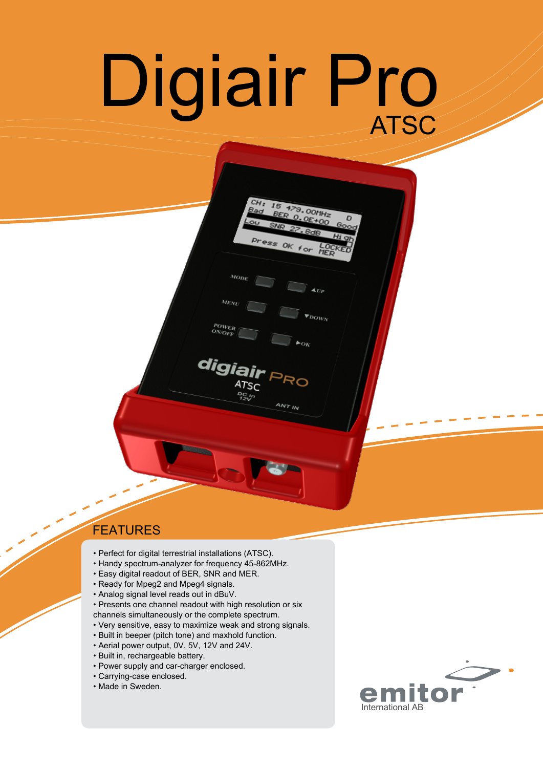# Digiair Pro

15 479.00MHz

 $\mathbf{v}_{\text{Down}}$ 

Press OK for

**ANT IN** 

 $MOD_E$ 

 $M_{ENU}$ 

 $POWER$ 

digiair

 $ATSC$ 

## FEATURES

- Perfect for digital terrestrial installations (ATSC).
- Handy spectrum-analyzer for frequency 45-862MHz.
- Easy digital readout of BER, SNR and MER.
- Ready for Mpeg2 and Mpeg4 signals.
- Analog signal level reads out in dBuV.
- Presents one channel readout with high resolution or six channels simultaneously or the complete spectrum.
- Very sensitive, easy to maximize weak and strong signals.
- Built in beeper (pitch tone) and maxhold function.
- Aerial power output, 0V, 5V, 12V and 24V.
- Built in, rechargeable battery.
- Power supply and car-charger enclosed.
- Carrying-case enclosed.
- Made in Sweden.